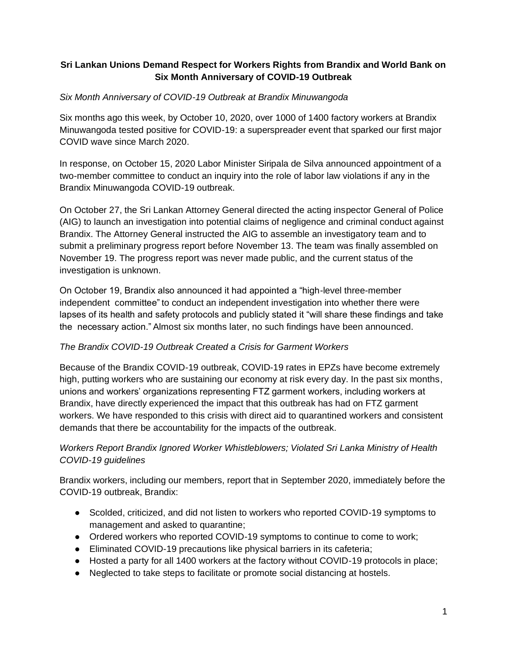### **Sri Lankan Unions Demand Respect for Workers Rights from Brandix and World Bank on Six Month Anniversary of COVID-19 Outbreak**

## *Six Month Anniversary of COVID-19 Outbreak at Brandix Minuwangoda*

Six months ago this week, by October 10, 2020, over 1000 of 1400 factory workers at Brandix Minuwangoda tested positive for COVID-19: a superspreader event that sparked our first major COVID wave since March 2020.

In response, on October 15, 2020 Labor Minister Siripala de Silva announced appointment of a two-member committee to conduct an inquiry into the role of labor law violations if any in the Brandix Minuwangoda COVID-19 outbreak.

On October 27, the Sri Lankan Attorney General directed the acting inspector General of Police (AIG) to launch an investigation into potential claims of negligence and criminal conduct against Brandix. The Attorney General instructed the AIG to assemble an investigatory team and to submit a preliminary progress report before November 13. The team was finally assembled on November 19. The progress report was never made public, and the current status of the investigation is unknown.

On October 19, Brandix also announced it had appointed a "high-level three-member independent committee" to conduct an independent investigation into whether there were lapses of its health and safety protocols and publicly stated it "will share these findings and take the necessary action." Almost six months later, no such findings have been announced.

### *The Brandix COVID-19 Outbreak Created a Crisis for Garment Workers*

Because of the Brandix COVID-19 outbreak, COVID-19 rates in EPZs have become extremely high, putting workers who are sustaining our economy at risk every day. In the past six months, unions and workers' organizations representing FTZ garment workers, including workers at Brandix, have directly experienced the impact that this outbreak has had on FTZ garment workers. We have responded to this crisis with direct aid to quarantined workers and consistent demands that there be accountability for the impacts of the outbreak.

# *Workers Report Brandix Ignored Worker Whistleblowers; Violated Sri Lanka Ministry of Health COVID-19 guidelines*

Brandix workers, including our members, report that in September 2020, immediately before the COVID-19 outbreak, Brandix:

- Scolded, criticized, and did not listen to workers who reported COVID-19 symptoms to management and asked to quarantine;
- Ordered workers who reported COVID-19 symptoms to continue to come to work;
- Eliminated COVID-19 precautions like physical barriers in its cafeteria;
- Hosted a party for all 1400 workers at the factory without COVID-19 protocols in place;
- Neglected to take steps to facilitate or promote social distancing at hostels.